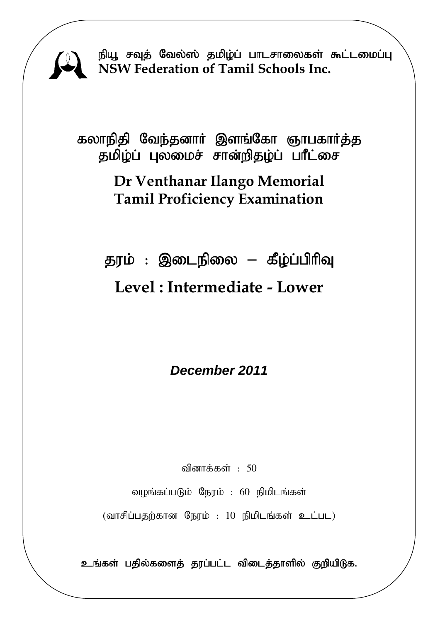

நியூ சவுத் வேல்ஸ் தமிழ்ப் பாடசாலைகள் கூட்டமைப்பு **NSW Federation of Tamil Schools Inc.**

கலாநிதி வேந்தனார் இளங்கோ ஞாபகார்த்த தமிழ்ப் புலமைச் சான்றிதழ்ப் பாீட்சை

## **Dr Venthanar Ilango Memorial Tamil Proficiency Examination**

தரம் : இடைநிலை – கீழ்ப்பிரிவு

# **Level : Intermediate - Lower**

*December 2011* 

வினாக்கள் $: 50$ 

வழங்கப்படும் நேரம் : 60 நிமிடங்கள்

 $(\text{diff}$ ப்பதற்கான நேரம் : 10 நிமிடங்கள் உட்பட)

உங்கள் பதில்களைத் தரப்பட்ட விடைத்தாளில் குறியிடுக.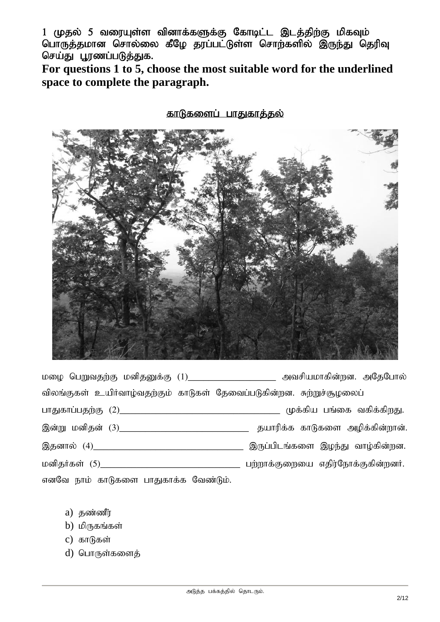1 (முதல் 5 வரையுள்ள வினாக்களுக்கு கோடிட்ட இடத்திற்கு மிகவும் பொருத்தமான சொல்லை கீழே தரப்பட்டுள்ள சொற்களில் இருந்து தெரிவு செய்து பூரணப்படுத்துக.

**For questions 1 to 5, choose the most suitable word for the underlined space to complete the paragraph.** 

#### <u>காடுகளைப் பாதுகாத்தல்</u>



kio ngWtjw;F kdpjDf ;F (1)\_\_\_\_\_\_\_\_\_\_\_\_\_\_\_\_\_ mtrpakhfpd;wd. mNjNghy; விலங்குகள் உயிர்வாழ்வதற்கும் காடுகள் தேவைப்படுகின்றன. சுற்றுச்சூழலைப் ghJfhg;gjw;F (2)\_\_\_\_\_\_\_\_\_\_\_\_\_\_\_\_\_\_\_\_\_\_\_\_\_\_\_\_\_\_\_ Kf;fpa gq;if tfpf;fpwJ. ,d;W kdpjd; (3)\_\_\_\_\_\_\_\_\_\_\_\_\_\_\_\_\_\_\_\_\_\_\_\_\_ jahupf;f fhLfis mopf;fpd;whd;. ,jdhy; (4)\_\_\_\_\_\_\_\_\_\_\_\_\_\_\_\_\_\_\_\_\_\_\_\_\_\_\_\_\_ ,Ug;gplq;fis ,oe;J tho;fpd;wd. kdpjHfs; (5)\_\_\_\_\_\_\_\_\_\_\_\_\_\_\_\_\_\_\_\_\_\_\_\_\_\_\_ gw;whf;Fiwia vjpu;Nehf;Ffpd;wdH. எனவே நாம் காடுகளை பாதுகாக்க வேண்டும்.

- $a)$  தண்ணீர்
- $b)$  மிருகங்கள்
- c) காடுகள்
- d) பொருள்களைத்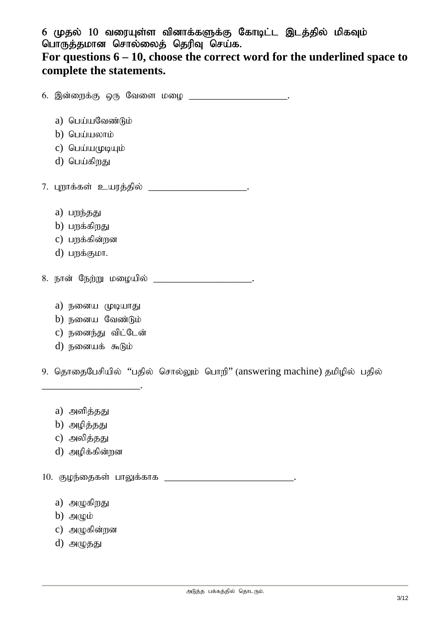6 (முதல் 10 வரையுள்ள வினாக்களுக்கு கோடிட்ட இடத்தில் மிகவும் பொருத்தமான சொல்லைத் தெரிவு செய்க.

### **For questions 6 – 10, choose the correct word for the underlined space to complete the statements.**

 $6.$  இன்றைக்கு ஒரு வேளை மழை  $.$ a) பெய்யவேண்டும்  $b)$  பெய்யலாம்  $c)$  பெய்யமுடியும் d) பெய்கி<u>றது</u> 7. புறாக்கள் உயரத்தில் \_\_\_\_\_\_\_\_\_\_\_\_\_\_\_\_\_\_\_\_\_\_\_. a) பறந்தது  $b)$  பறக்கிறது c) பருக்கின்றன  $d)$  பருக்குமா. 8. நான் நேற்று மழையில் a) நனைய முடியாது b) நனைய வேண்டும் c) நனைந்து விட்டேன் d) நனையக் கூடும்

9. தொதைபேசியில் "பதில் சொல்லும் பொறி" (answering machine) தமிழில் பதில்

a) அளித்தது

\_\_\_\_\_\_\_\_\_\_\_\_\_\_\_\_\_\_\_.

 $b)$  அழித்தது

c) அலித்தது

d) அழிக்கின்றன

10. குழந்தைகள் பாலுக்காக

 $a)$  அழுகிறது

 $b)$   $\Theta$ ( $\psi$ 

 $c)$  அழுகின்றன

 $d)$  அழுதது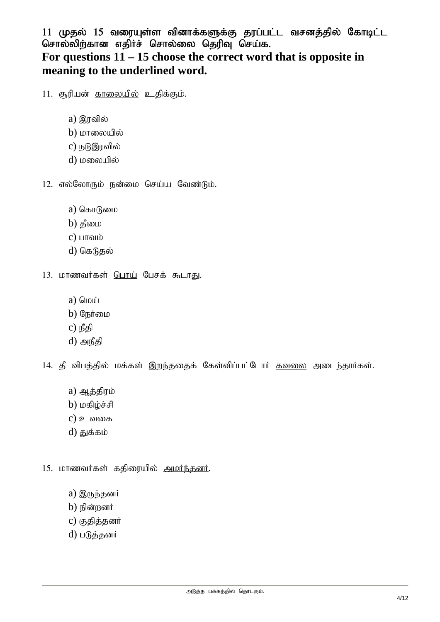11 முதல் 15 வரையுள்ள வினாக்களுக்கு தரப்பட்ட வசனத்தில் கோடிட்ட சொல்லிற்கான எதிர்ச் சொல்லை தெரிவு செய்க. **For questions 11 – 15 choose the correct word that is opposite in meaning to the underlined word.** 

11. சூரியன் <u>காலையில்</u> உதிக்கும்.

- $a)$  இரவில்
- $b)$  மாலையில்
- c) நடுஇரவில்
- d) மலையில்
- 12. எல்லோரும் ந<u>ன்மை</u> செய்ய வேண்டும்.
	- $a)$  கொடுமை
	- $b)$  தீமை
	- $c)$  பாவம்
	- $d)$  கெடுதல்
- 13. மாணவர்கள் பொய் பேசக் கூடாது.
	- a)  $\omega$
	- $b)$  நேர்மை
	- c) நீதி
	- $d)$  அநீதி

14. தீ விபத்தில் மக்கள் இறந்ததைக் கேள்விப்பட்டோர் <u>கவலை</u> அடைந்தார்கள்.

- a) ஆத்திரம்
- $b)$  மகிழ்ச்சி
- $c)$  உவகை
- $d$ ) துக்கம்
- 15. மாணவர்கள் கதிரையில் <u>அமர்ந்தனர்</u>.
	- a) இருந்தனர்
	- $b)$  நின்றனர்
	- c) குதித்தனர்
	- d) படுத்தனர்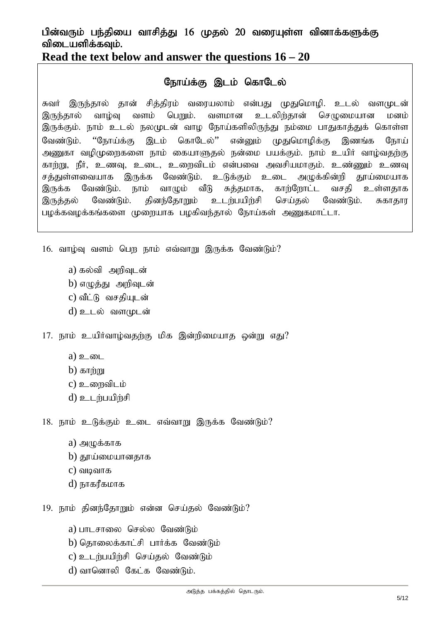#### பின்வரும் பந்தியை வாசித்து 16 முதல் 20 வரையுள்ள வினாக்களுக்கு விடையளிக்கவும்.

#### **Read the text below and answer the questions 16 – 20**

### நோய்க்கு இடம் கொடேல்

சுவர் இருந்தால் தான் சித்திரம் வரையலாம் என்பது முதுமொழி. உடல் வளமுடன் இருந்தால் வாழ்வு வளம் பெறும். வளமான உடலிற்தான் செழுமையான மனம் இருக்கும். நாம் உடல் நலமுடன் வாழ நோய்களிலிருந்து நம்மை பாதுகாத்துக் கொள்ள வேண்டும். ''நோய்க்கு இடம் கொடேல்'' என்னும் முதுமொழிக்கு இணங்க நோய் அணுகா வழிமுறைகளை நாம் கையாளுகல் நன்மை பயக்கும். நாம் உயிர் வாழ்வதற்கு காற்று, நீர், உணவு, உடை, உறைவிடம் என்பவை அவசியமாகும். உண்ணும் உணவு சத்துள்ளவையாக இருக்க வேண்டும். உடுக்கும் உடை அழுக்கின்றி தூய்மையாக இருக்க வேண்டும். நாம் வாழும் வீடு சுத்தமாக, காற்றோட்ட வசதி உள்ளதாக இருத்தல் வேண்டும். தினந்தோறும் உடற்பயிற்சி செய்தல் வேண்டும். சுகாதார பழக்கவழக்கங்களை முறையாக பழகிவந்தால் நோய்கள் அணுகமாட்டா.

 $16.$  வாழ்வு வளம் பெற நாம் எவ்வாறு இருக்க வேண்டும்?

- a) கல்வி அறிவுடன் b) எழுத்து அறிவுடன்
- c) வீட்டு வசகியுடன்
- $d$ ) உடல் வளமுடன்

 $17.$  நாம் உயிர்வாம்வகற்கு மிக இன்றிமையாக ஒன்று எது?

- $a)$  உடை
- $b)$   $\delta$  mm;
- $c)$  உரைவிடம்
- $d)$  **p**  $L$  m  $d$  m  $d$

 $18.$  நாம் உடுக்கும் உடை எவ்வாறு இருக்க வேண்டும்?

- $a)$  அமுக்காக
- $b)$  தூய்மையானதாக
- $c)$  வடிவாக
- d) நாகரீகமாக

19. நாம் தினந்தோறும் என்ன செய்தல் வேண்டும்?

a) பாடசாலை செல்ல வேண்டும்

- b) தொலைக்காட்சி பார்க்க வேண்டும்
- c) உடர்பயிர்சி செய்தல் வேண்டும்
- $d$ ) வானொலி கேட்க வேண்டும்.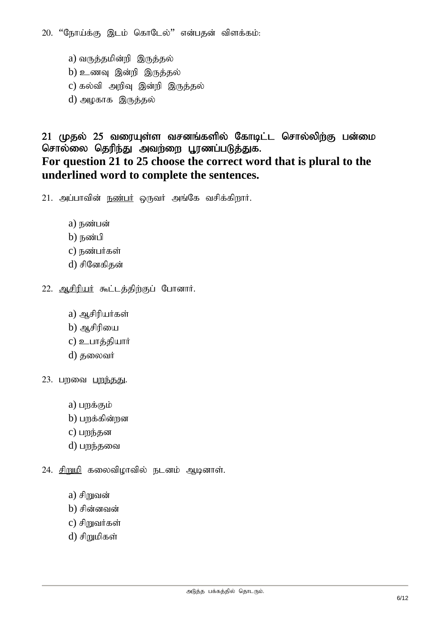20. "நோய்க்கு இடம் கொடேல்" என்பதன் விளக்கம்:

a) வருத்தமின்றி இருத்தல்  $b)$  உணவு இன்றி இருத்தல்  $c)$  கல்வி அறிவு இன்றி இருத்தல் d) அழகாக இருத்தல்

### $21$  (முதல்  $25$  வரையுள்ள வசனங்களில் கோடிட்ட சொல்லிற்கு பன்மை சொல்லை தெரிந்து அவற்றை பூரணப்படுத்துக. **For question 21 to 25 choose the correct word that is plural to the underlined word to complete the sentences.**

 $21.$  அப்பாவின் நண்பர் ஒருவர் அங்கே வசிக்கிறார்.

- $a)$   $\overline{b}$   $\omega$  $\overline{b}$   $\omega$
- $b)$  நண்பி
- $c)$  நண்பர்கள்
- d) சினேகிகன்
- 22. ஆசிரியர் கூட்டத்திற்குப் போனார்.
	- a) ஆசிரியர்கள்
	- $b)$  ஆசிரியை
	- c) உபாத்தியார்
	- d) தலைவர்
- 23. பறவை <u>பறந்தது</u>.
	- $a)$  பறக்கும்
	- $b)$  பறக்கின்றன
	- c) பறந்தன
	- d) பறந்தவை
- $24.$  சிறுமி கலைவிழாவில் நடனம் ஆடினாள்.
	- $a)$  சிறுவன்
	- $b)$  சின்னவன்
	- $c)$  சிறுவர்கள்
	- d) சிறுமிகள்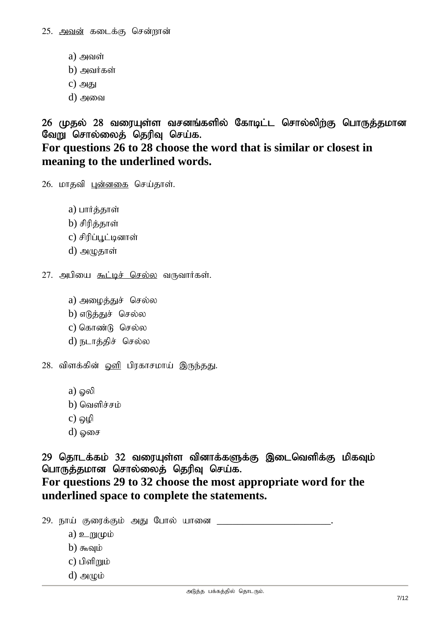- $a)$  அவள்
- $b)$  அவர்கள்
- $c)$  அது
- $d)$  அவை

26 முதல் 28 வரையுள்ள வசனங்களில் கோடிட்ட சொல்லிற்கு பொருத்தமான வேறு சொல்லைத் தெரிவு செய்க. **For questions 26 to 28 choose the word that is similar or closest in meaning to the underlined words.** 

26. மாதவி புன்னகை செய்தாள்.

a) பார்த்தாள்

 $b)$  சிரிக்காள்

c) சிரிப்பூட்டினாள்

 $d)$  அழுதாள்

 $27.$  அபியை கூட்டிச் செல்ல வருவார்கள்.

a) அழைத்துச் செல்ல

b) எடுத்துச் செல்ல

c) கொண்டு செல்ல

d) நடாத்திச் செல்ல

28. விளக்கின் <u>ஒளி</u> பிரகாசமாய் இருந்தது.

 $a)$  ஓலி

 $b)$  வெளிச்சம்

 $c)$  ஒழி

 $d$ ) கை

29 தொடக்கம் 32 வரையுள்ள வினாக்களுக்கு இடைவெளிக்கு மிகவும் பொருத்தமான சொல்லைத் தெரிவு செய்க.

**For questions 29 to 32 choose the most appropriate word for the underlined space to complete the statements.** 

29. நாய் குரைக்கும் அது போல் யானை a)  $\mathfrak{D}$  m<sub>(pi</sub>o  $b)$   $\delta$ <sub>n</sub> $\delta$ y $\mu$  $c)$  பிளிறும்  $d)$  அழும்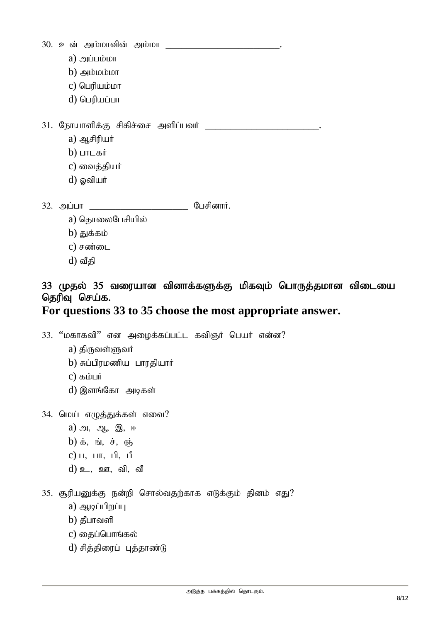| 30. உன் அம்மாவின் அம்மா |                                                                                                     |           |  |
|-------------------------|-----------------------------------------------------------------------------------------------------|-----------|--|
|                         | $a)$ அப்பம்மா                                                                                       |           |  |
|                         | $b)$ அம்மம்மா                                                                                       |           |  |
|                         | $c)$ பெரியம்மா                                                                                      |           |  |
|                         | d) பெரியப்பா                                                                                        |           |  |
|                         | 31. நோயாளிக்கு சிகிச்சை அளிப்பவர் ______<br>a) ஆசிரியர்<br>$b)$ பாடகர்<br>c) வைத்தியர்<br>d) ஓவியர் |           |  |
|                         | 32. அப்பா                                                                                           | பேசினார். |  |

- a) தொலைபேசியில்
- $b)$  துக்கம்
- $c)$  சண்டை
- $d$ ) வீதி

## 33 முதல் 35 வரையான வினாக்களுக்கு மிகவும் பொருத்தமான விடையை தெரிவு செய்க.

## **For questions 33 to 35 choose the most appropriate answer.**

 $33.$  "மகாகவி" என அழைக்கப்பட்ட கவிஞர் பெயர் என்ன?

- a) திருவள்ளுவர்
- $b)$  சுப்பிரமணிய பாரதியார்
- $c)$  கம்பர்
- d) இளங்கோ அடிகள்

34. மெய் எழுத்துக்கள் எவை?

- $a)$  அ, ஆ, இ, ஈ
- $b)$   $\dot{b}$ ,  $\dot{b}$ ,  $\dot{d}$ ,  $\dot{b}$ ,  $\dot{c}$ ,  $\dot{c}$
- $c)$   $u$ ,  $u$   $\pi$ ,  $u$ <sup>0</sup>,  $u$ <sup>0</sup>
- $d)$   $\Omega$ ,  $\Omega$ ,  $\Omega$ ,  $\Omega$

35. சூரியனுக்கு நன்றி சொல்வதற்காக எடுக்கும் தினம் எது?

- a)  $\bigoplus$   $\bigoplus$
- $b)$  தீபாவளி
- c) தைப்பொங்கல்
- d) சித்திரைப் புத்தாண்டு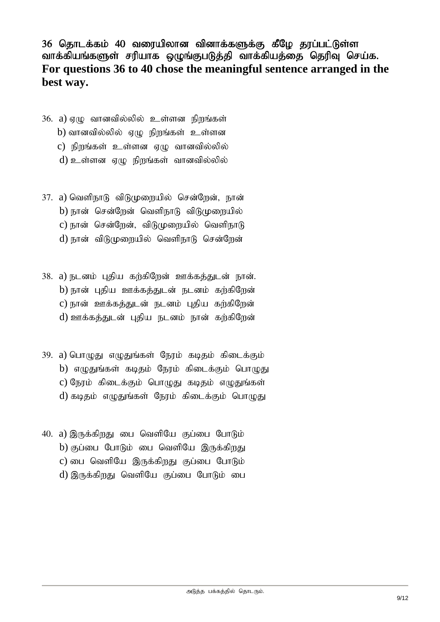36 தொடக்கம் 40 வரையிலான வினாக்களுக்கு கீழே தரப்பட்டுள்ள வாக்கியங்களுள் சரியாக ஒழுங்குபடுத்தி வாக்கியத்தை தெரிவு செய்க. **For questions 36 to 40 chose the meaningful sentence arranged in the best way.** 

- $36.$  a)  $\sigma$ (ழ வானவில்லில் உள்ளன நிறங்கள் b) வானவில்லில் ஏழு நிறங்கள் உள்ளன  $\,$ c) நிறங்கள் உள்ளன ஏழு வானவில்லில்  $d$ ) உள்ளன ஏழு நிறங்கள் வானவில்லில்
- $37.$  a) வெளிநாடு விடுமுறையில் சென்றேன், நான் b) நான் சென்றேன் வெளிநாடு விடுமுறையில் c) நான் சென்றேன், விடுமுறையில் வெளிநாடு d) நான் விடுமுறையில் வெளிநாடு சென்றேன்
- 38. a) நடனம் புதிய கற்கிறேன் ஊக்கத்துடன் நான். b) நான் புதிய ஊக்கத்துடன் நடனம் கற்கிறேன்  $c)$  நான் ஊக்கத்துடன் நடனம் புதிய கற்கிறேன் d) ஊக்கத்துடன் புதிய நடனம் நான் கற்கிறேன்
- 39. a) பொழுது எழுதுங்கள் நேரம் கடிதம் கிடைக்கும் b) எழுதுங்கள் கடிதம் நேரம் கிடைக்கும் பொழுது c) நேரம் கிடைக்கும் பொழுது கடிதம் எழுதுங்கள் d) கடிதம் எழுதுங்கள் நேரம் கிடைக்கும் பொழுது
- 40. a) இருக்கிறது பை வெளியே குப்பை போடும்  $b)$  குப்பை போடும் பை வெளியே இருக்கிறது c) பை வெளியே இருக்கிறது குப்பை போடும் d) இருக்கிறது வெளியே குப்பை போடும் பை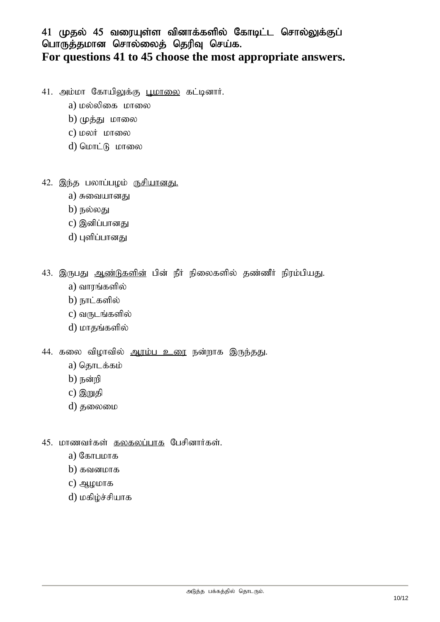### 41 முதல் 45 வரையுள்ள வினாக்களில் கோடிட்ட சொல்லுக்குப் பொருத்தமான சொல்லைத் தெரிவு செய்க. **For questions 41 to 45 choose the most appropriate answers.**

- 41. அம்மா கோயிலுக்கு பூமாலை கட்டினார்.
	- a) மல்லிகை மாலை
	- $b)$  ( $\mu$ க்து மாலை
	- c) மலர் மாலை
	- d) மொட்டு மாலை
- $42.$  இந்த பலாப்பழம் ருசியானது.
	- a) சுவையானது
	- $b)$  நல்லது
	- c) இனிப்பானது
	- d) புளிப்பானது

43. இருபது ஆ<u>ண்டுகளின்</u> பின் நீர் நிலைகளில் தண்ணீர் நிரம்பியது.

- a) வாரங்களில்
- b) நாட்களில்
- $c)$  வருடங்களில்
- $d)$  மாதங்களில்
- 44. கலை விழாவில் ஆரம்ப உரை நன்றாக இருந்தது.
	- a) தொடக்கம்
	- $b)$  நன்றி
	- c) இறுதி
	- d) தலைமை
- $45.$  மாணவர்கள் <u>கலகலப்பாக</u> பேசினார்கள்.
	- $a)$  С $\delta$ ыпшоп $\delta$
	- $b)$  கவனமாக
	- $c)$  ஆழமாக
	- d) மகிழ்ச்சியாக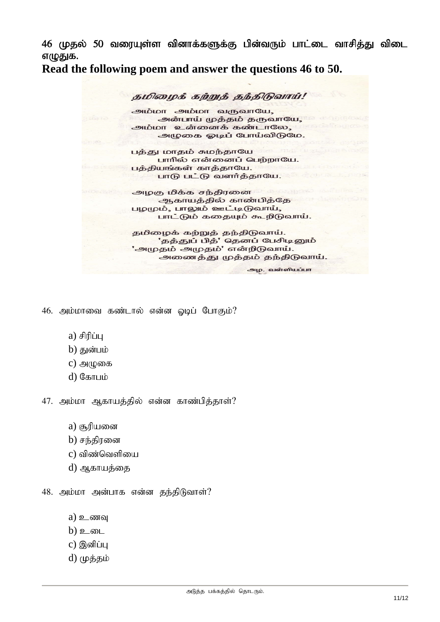46 (முதல் 50 வரையுள்ள வினாக்களுக்கு பின்வரும் பாட்டை வாசித்து விடை எழுதுக.

**Read the following poem and answer the questions 46 to 50.** 

தமிழைக் கற்றுத் தந்திடுவாய்!

அம்மா அம்மா வருவாயே, அன்பாய் முத்தம் தருவாயே, அம்மா உன்னைக் கண்டாலே, அழுகை ஓடிப் போய்விடுமே.

பத்து மாதம் சுமந்தாயே பாரில் என்னைப் பெற்றாயே. பத்தியங்கள் காத்தாயே. பாடு பட்டு வளர்த்தாயே.

அழகு மிக்க சந்திரனை ஆகாயத்தில் காண்பித்தே பழமும், பாலும் ஊட்டிடுவாய், பாட்டும் கதையும் கூறிடுவாய்.

தமிழைக் கற்றுத் தந்திடுவாய். 'தத்துப் பித்' தெனப் பேசிடினும் 'அமுதம் அமுதம்' என்றிடுவாய். அணைத்து முத்தம் தந்திடுவாய்.

அழ. வள்ளியப்பா

 $46.$  அம்மாவை கண்டால் என்ன ஓடிப் போகும்?

- $a)$  சிரிப்ப
- $b)$  துன்பம்
- $c)$  அழுகை
- $d$ ) கோபம்

47. அம்மா ஆகாயத்தில் என்ன காண்பித்தாள்?

- $a)$  சூரியனை
- $b)$  சந்திரனை
- $c)$  ഖിண்வெளியை
- d) ஆகாயத்தை

48. அம்மா அன்பாக என்ன தந்திடுவாள்?

- $a)$  உணவு
- $b)$  உடை
- $c)$  இனிப்பு
- d) முத்தம்